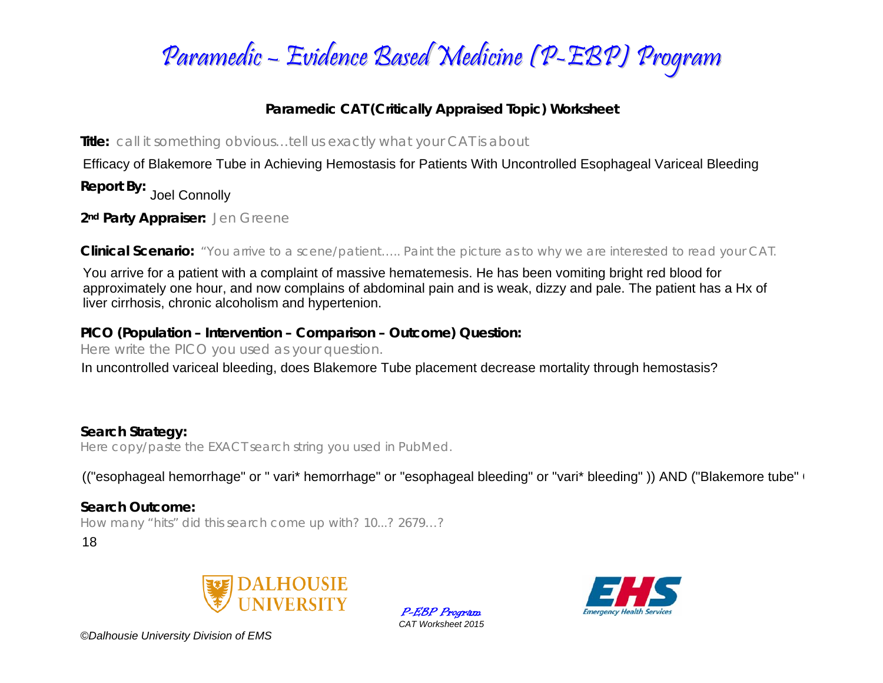

### **Paramedic CAT (Critically Appraised Topic) Worksheet**

**Title:** *call it something obvious…tell us exactly what your CAT is about* 

Efficacy of Blakemore Tube in Achieving Hemostasis for Patients With Uncontrolled Esophageal Variceal Bleeding

**Report By:**  Joel Connolly

**2nd Party Appraiser:** *Jen Greene* 

**Clinical Scenario:** *"You arrive to a scene/patient….. Paint the picture as to why we are interested to read your CAT.*

You arrive for a patient with a complaint of massive hematemesis. He has been vomiting bright red blood for approximately one hour, and now complains of abdominal pain and is weak, dizzy and pale. The patient has a Hx of liver cirrhosis, chronic alcoholism and hypertenion.

#### **PICO (Population – Intervention – Comparison – Outcome) Question:**

*Here write the PICO you used as your question.* 

In uncontrolled variceal bleeding, does Blakemore Tube placement decrease mortality through hemostasis?

#### **Search Strategy:**

*Here copy/paste the EXACT search string you used in PubMed.* 

(("esophageal hemorrhage" or " vari\* hemorrhage" or "esophageal bleeding" or "vari\* bleeding")) AND ("Blakemore tube"  $\overline{1}$ 

#### **Search Outcome:**

*How many "hits" did this search come up with? 10...? 2679…?* 

18







*©Dalhousie University Division of EMS*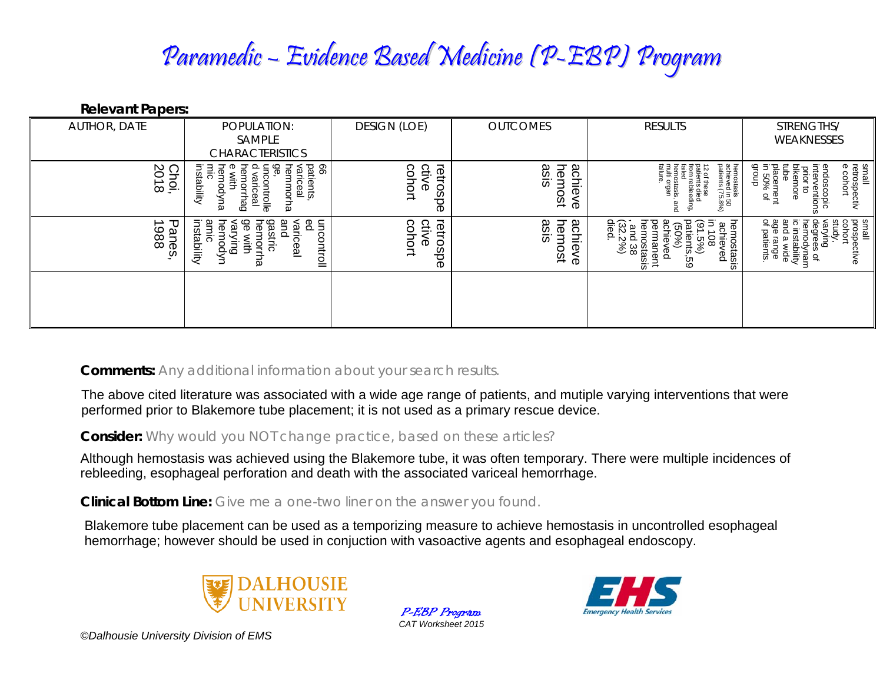# Paramedic – Evidence Based Medicine (P-EBP) Program

**Relevant Papers:** 

| <b>AUTHOR, DATE</b>           | POPULATION:                                                                                                                                 | <b>DESIGN (LOE)</b>         | <b>OUTCOMES</b>             | <b>RESULTS</b>                                                                                                                                                                                | STRENGTHS/                                                                                                                                             |
|-------------------------------|---------------------------------------------------------------------------------------------------------------------------------------------|-----------------------------|-----------------------------|-----------------------------------------------------------------------------------------------------------------------------------------------------------------------------------------------|--------------------------------------------------------------------------------------------------------------------------------------------------------|
|                               | SAMPLE<br><b>CHARACTERISTICS</b>                                                                                                            |                             |                             |                                                                                                                                                                                               | WEAKNESSES                                                                                                                                             |
| SO<br>Choi,<br>$\vec{\infty}$ | patients,<br>99<br>ၜၞ<br>hemmorha<br>hemorrhag<br>nemodyna<br>variceal<br>mic<br>instability<br>ă<br>with<br>varic<br>ontrolle<br><u>ea</u> | retrospe<br>ctive<br>cohort | hemost<br>achieve<br>asis   | hemostasis<br>achieved in !<br>patients (75.<br>hemostasis,<br>multi organ<br>failure.<br>12 of these<br>patients died<br>from rebleeding,<br>failed<br>$50$<br>$-59%$<br>and                 | small<br>retrospectiv<br>e cohort<br>endoscopic<br>interventions<br>dnoub<br>tube<br>placement<br>in 50% of<br>bikemore<br>prior to                    |
| 1988<br>᠊ᠣ<br>anes            | ရွ<br>உ<br>instability<br>gastric<br>hemorrha<br>uncontroll<br>varying<br>hemodyn<br>and<br>variceal<br>amic<br>×ith                        | ctive<br>retrospe<br>cohort | hem<br>asis<br>achieve<br>ğ | hemostasis<br>permanent<br>hemostasis<br>, and 38<br>(32.2%)<br>died.<br>$\overline{6}$ $\overline{2}$ .<br>ष्ट्<br>ă<br>achieved<br>in 108<br>(91.5%)<br>ত<br>$rac{1}{2}$<br>릆<br>ked<br>ပ္မ | small<br>prospe<br>cohort<br>kudy<br>degrees of<br>hemodynam<br>ic instability<br>and a wide<br>age range<br>of patients.<br>که<br>ا⊋<br>Guid<br>ctive |
|                               |                                                                                                                                             |                             |                             |                                                                                                                                                                                               |                                                                                                                                                        |

**Comments:** *Any additional information about your search results.*

**Consider:** *Why would you NOT change practice, based on these articles?*

The above cited literature was associated with a wide age range of patients, and mutiple varying interventions that were<br>performed prior to Blakemore tube placement; it is not used as a primary rescue device.<br>Consider: *Wh* 

**Clinical Bottom Line:** *Give me a one-two liner on the answer you found.*



P-EBP Program *CAT Worksheet 2015* 



*©Dalhousie University Division of EMS*